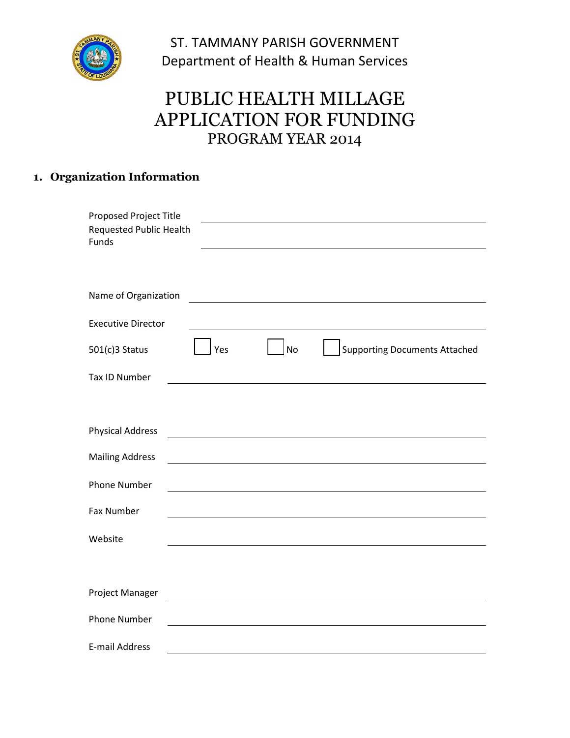

ST. TAMMANY PARISH GOVERNMENT Department of Health & Human Services

# PUBLIC HEALTH MILLAGE APPLICATION FOR FUNDING PROGRAM YEAR 2014

### **1. Organization Information**

| <b>Proposed Project Title</b><br>Requested Public Health<br>Funds                                                                           |
|---------------------------------------------------------------------------------------------------------------------------------------------|
| Name of Organization                                                                                                                        |
| <b>Executive Director</b>                                                                                                                   |
| <b>No</b><br><b>Supporting Documents Attached</b><br>Yes<br>$501(c)3$ Status                                                                |
| <b>Tax ID Number</b>                                                                                                                        |
|                                                                                                                                             |
| <b>Physical Address</b>                                                                                                                     |
| <b>Mailing Address</b>                                                                                                                      |
| <b>Phone Number</b><br><u> 1980 - Johann Barn, mars ann an t-Amhain Aonaich an t-Aonaich an t-Aonaich ann an t-Aonaich ann an t-Aonaich</u> |
| <b>Fax Number</b>                                                                                                                           |
| Website                                                                                                                                     |
|                                                                                                                                             |
| Project Manager                                                                                                                             |
| <b>Phone Number</b>                                                                                                                         |
| <b>E-mail Address</b>                                                                                                                       |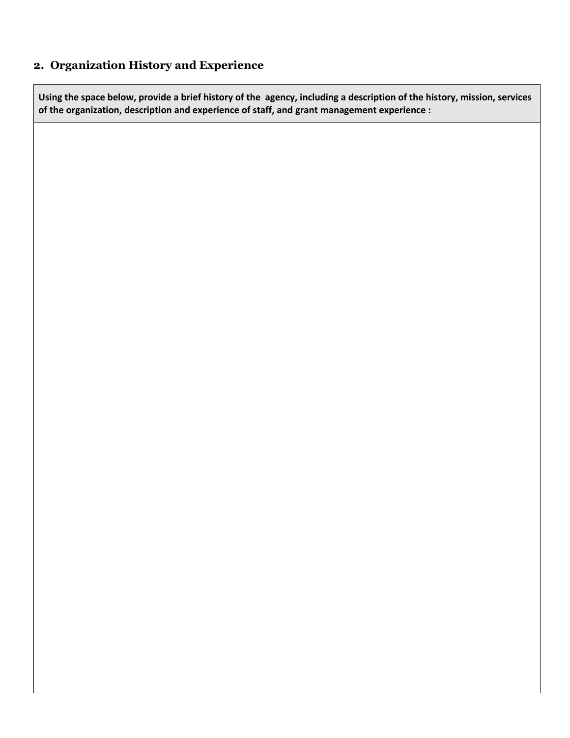### **2. Organization History and Experience**

**Using the space below, provide a brief history of the agency, including a description of the history, mission, services of the organization, description and experience of staff, and grant management experience :**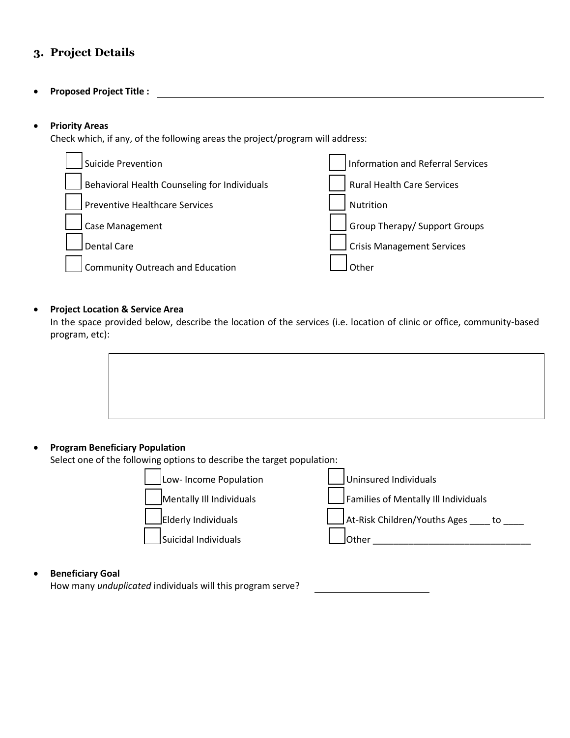### **3. Project Details**

**Proposed Project Title :**

#### **Priority Areas**

Check which, if any, of the following areas the project/program will address:



#### **Project Location & Service Area**

In the space provided below, describe the location of the services (i.e. location of clinic or office, community-based program, etc):

#### **Program Beneficiary Population**

Select one of the following options to describe the target population:

| Low- Income Population   | Uninsured Individuals                          |
|--------------------------|------------------------------------------------|
| Mentally III Individuals | $\rfloor$ Families of Mentally III Individuals |
| Elderly Individuals      | $\vert$ At-Risk Children/Youths Ages to        |
| Suicidal Individuals     | <b>l</b> Other                                 |
|                          |                                                |

#### **Beneficiary Goal**

How many *unduplicated* individuals will this program serve?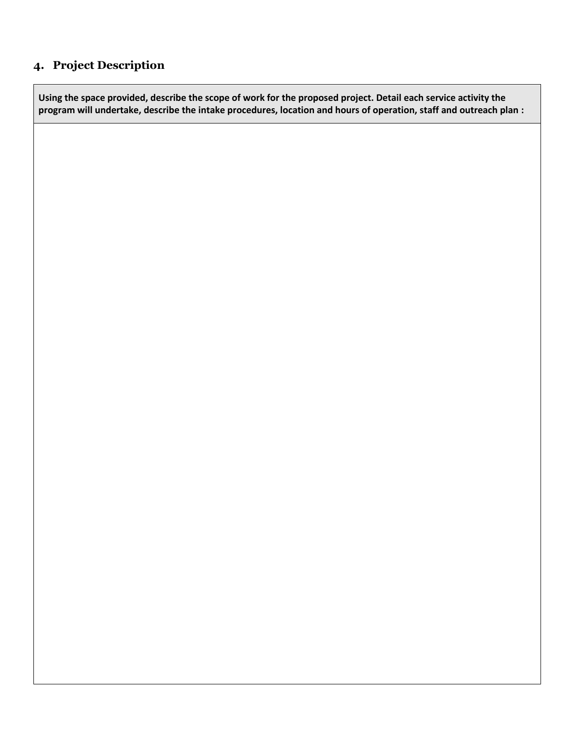### **4. Project Description**

**Using the space provided, describe the scope of work for the proposed project. Detail each service activity the program will undertake, describe the intake procedures, location and hours of operation, staff and outreach plan :**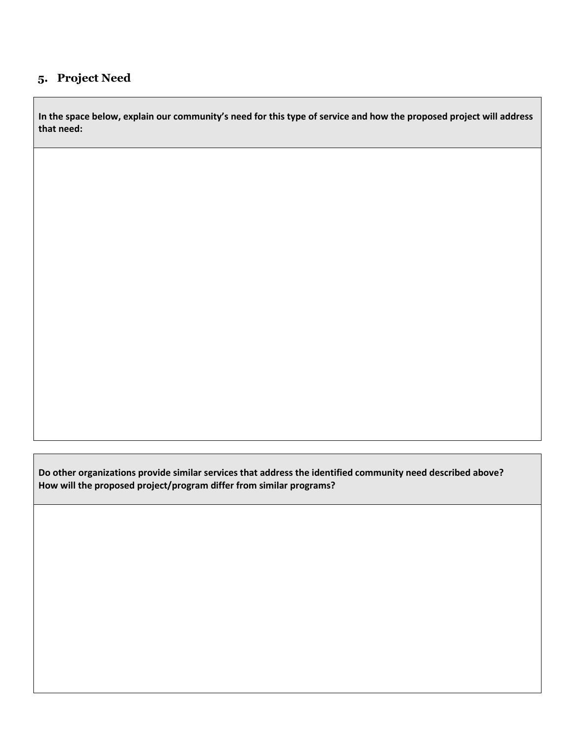### **5. Project Need**

**In the space below, explain our community's need for this type of service and how the proposed project will address that need:**

**Do other organizations provide similar services that address the identified community need described above? How will the proposed project/program differ from similar programs?**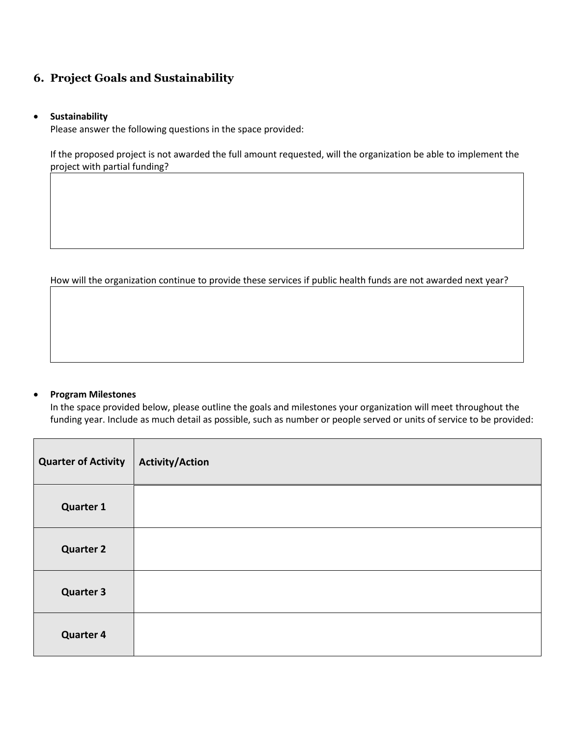### **6. Project Goals and Sustainability**

#### **Sustainability**

Please answer the following questions in the space provided:

If the proposed project is not awarded the full amount requested, will the organization be able to implement the project with partial funding?

How will the organization continue to provide these services if public health funds are not awarded next year?

#### **Program Milestones**

In the space provided below, please outline the goals and milestones your organization will meet throughout the funding year. Include as much detail as possible, such as number or people served or units of service to be provided:

| <b>Quarter of Activity</b> | <b>Activity/Action</b> |
|----------------------------|------------------------|
| <b>Quarter 1</b>           |                        |
| <b>Quarter 2</b>           |                        |
| <b>Quarter 3</b>           |                        |
| <b>Quarter 4</b>           |                        |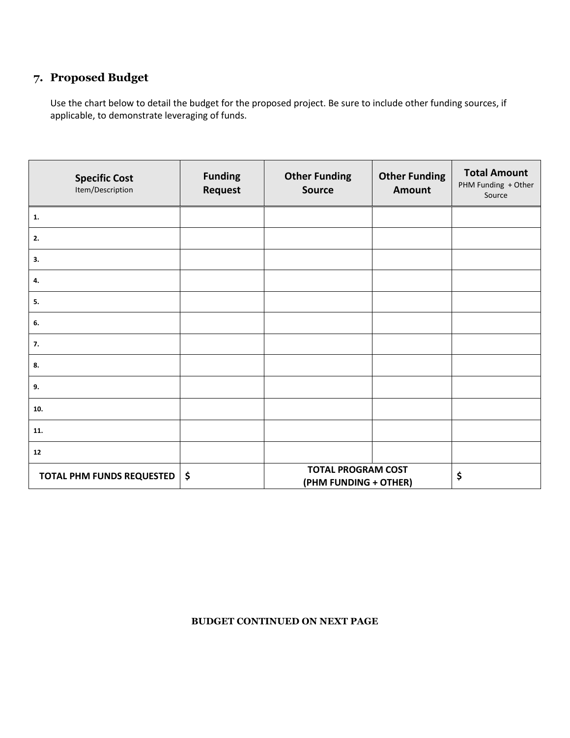### **7. Proposed Budget**

Use the chart below to detail the budget for the proposed project. Be sure to include other funding sources, if applicable, to demonstrate leveraging of funds.

| <b>Specific Cost</b><br>Item/Description | <b>Funding</b><br>Request | <b>Other Funding</b><br><b>Source</b>              | <b>Other Funding</b><br>Amount | <b>Total Amount</b><br>PHM Funding + Other<br>Source |
|------------------------------------------|---------------------------|----------------------------------------------------|--------------------------------|------------------------------------------------------|
| $\mathbf{1}$ .                           |                           |                                                    |                                |                                                      |
| 2.                                       |                           |                                                    |                                |                                                      |
| 3.                                       |                           |                                                    |                                |                                                      |
| 4.                                       |                           |                                                    |                                |                                                      |
| 5.                                       |                           |                                                    |                                |                                                      |
| 6.                                       |                           |                                                    |                                |                                                      |
| 7.                                       |                           |                                                    |                                |                                                      |
| 8.                                       |                           |                                                    |                                |                                                      |
| 9.                                       |                           |                                                    |                                |                                                      |
| 10.                                      |                           |                                                    |                                |                                                      |
| 11.                                      |                           |                                                    |                                |                                                      |
| 12                                       |                           |                                                    |                                |                                                      |
| <b>TOTAL PHM FUNDS REQUESTED</b>         | \$                        | <b>TOTAL PROGRAM COST</b><br>(PHM FUNDING + OTHER) |                                | \$                                                   |

#### **BUDGET CONTINUED ON NEXT PAGE**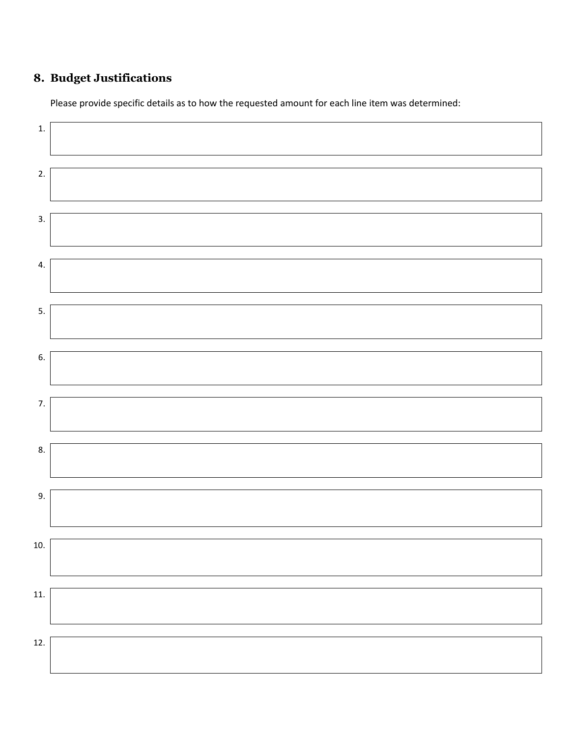## **8. Budget Justifications**

Please provide specific details as to how the requested amount for each line item was determined: